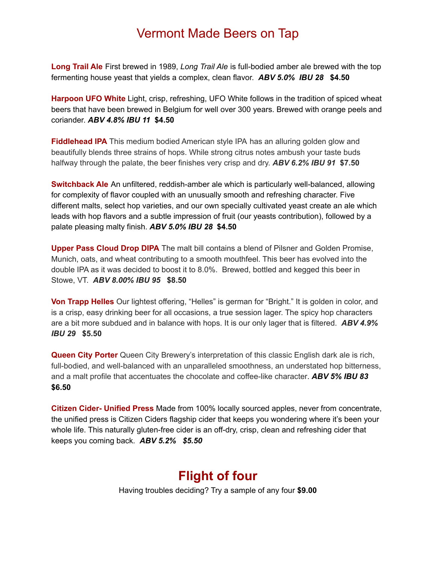# Vermont Made Beers on Tap

**Long Trail Ale** First brewed in 1989, *Long Trail Ale* is full-bodied amber ale brewed with the top fermenting house yeast that yields a complex, clean flavor. *ABV 5.0% IBU 28* **\$4.50**

**Harpoon UFO White** Light, crisp, refreshing, UFO White follows in the tradition of spiced wheat beers that have been brewed in Belgium for well over 300 years. Brewed with orange peels and coriander. *ABV 4.8% IBU 11* **\$4.50**

**Fiddlehead IPA** This medium bodied American style IPA has an alluring golden glow and beautifully blends three strains of hops. While strong citrus notes ambush your taste buds halfway through the palate, the beer finishes very crisp and dry. *ABV 6.2% IBU 91* **\$7.50**

**Switchback Ale** An unfiltered, reddish-amber ale which is particularly well-balanced, allowing for complexity of flavor coupled with an unusually smooth and refreshing character. Five different malts, select hop varieties, and our own specially cultivated yeast create an ale which leads with hop flavors and a subtle impression of fruit (our yeasts contribution), followed by a palate pleasing malty finish. *ABV 5.0% IBU 28* **\$4.50**

**Upper Pass Cloud Drop DIPA** The malt bill contains a blend of Pilsner and Golden Promise, Munich, oats, and wheat contributing to a smooth mouthfeel. This beer has evolved into the double IPA as it was decided to boost it to 8.0%. Brewed, bottled and kegged this beer in Stowe, VT. *ABV 8.00% IBU 95* **\$8.50**

**Von Trapp Helles** Our lightest offering, "Helles" is german for "Bright." It is golden in color, and is a crisp, easy drinking beer for all occasions, a true session lager. The spicy hop characters are a bit more subdued and in balance with hops. It is our only lager that is filtered. *ABV 4.9% IBU 29* **\$5.50**

**Queen City Porter** Queen City Brewery's interpretation of this classic English dark ale is rich, full-bodied, and well-balanced with an unparalleled smoothness, an understated hop bitterness, and a malt profile that accentuates the chocolate and coffee-like character. *ABV 5% IBU 83* **\$6.50**

**Citizen Cider- Unified Press** Made from 100% locally sourced apples, never from concentrate, the unified press is Citizen Ciders flagship cider that keeps you wondering where it's been your whole life. This naturally gluten-free cider is an off-dry, crisp, clean and refreshing cider that keeps you coming back. *ABV 5.2% \$5.50*

# **Flight of four**

Having troubles deciding? Try a sample of any four **\$9.00**